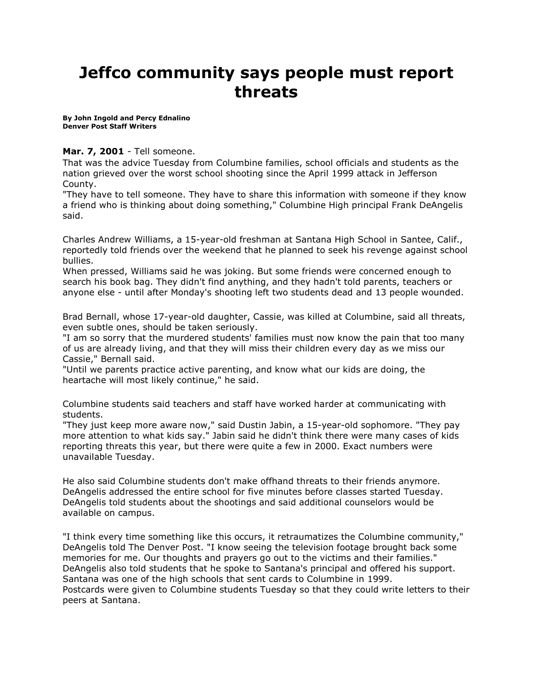## **Jeffco community says people must report threats**

**By [John Ingold and Percy Ednalino](mailto:newsroom@denverpost.com) Denver Post Staff Writers**

## **Mar. 7, 2001** - Tell someone.

That was the advice Tuesday from Columbine families, school officials and students as the nation grieved over the worst school shooting since the April 1999 attack in Jefferson County.

"They have to tell someone. They have to share this information with someone if they know a friend who is thinking about doing something," Columbine High principal Frank DeAngelis said.

Charles Andrew Williams, a 15-year-old freshman at Santana High School in Santee, Calif., reportedly told friends over the weekend that he planned to seek his revenge against school bullies.

When pressed, Williams said he was joking. But some friends were concerned enough to search his book bag. They didn't find anything, and they hadn't told parents, teachers or anyone else - until after Monday's shooting left two students dead and 13 people wounded.

Brad Bernall, whose 17-year-old daughter, Cassie, was killed at Columbine, said all threats, even subtle ones, should be taken seriously.

"I am so sorry that the murdered students' families must now know the pain that too many of us are already living, and that they will miss their children every day as we miss our Cassie," Bernall said.

"Until we parents practice active parenting, and know what our kids are doing, the heartache will most likely continue," he said.

Columbine students said teachers and staff have worked harder at communicating with students.

"They just keep more aware now," said Dustin Jabin, a 15-year-old sophomore. "They pay more attention to what kids say." Jabin said he didn't think there were many cases of kids reporting threats this year, but there were quite a few in 2000. Exact numbers were unavailable Tuesday.

He also said Columbine students don't make offhand threats to their friends anymore. DeAngelis addressed the entire school for five minutes before classes started Tuesday. DeAngelis told students about the shootings and said additional counselors would be available on campus.

"I think every time something like this occurs, it retraumatizes the Columbine community," DeAngelis told The Denver Post. "I know seeing the television footage brought back some memories for me. Our thoughts and prayers go out to the victims and their families." DeAngelis also told students that he spoke to Santana's principal and offered his support. Santana was one of the high schools that sent cards to Columbine in 1999. Postcards were given to Columbine students Tuesday so that they could write letters to their peers at Santana.